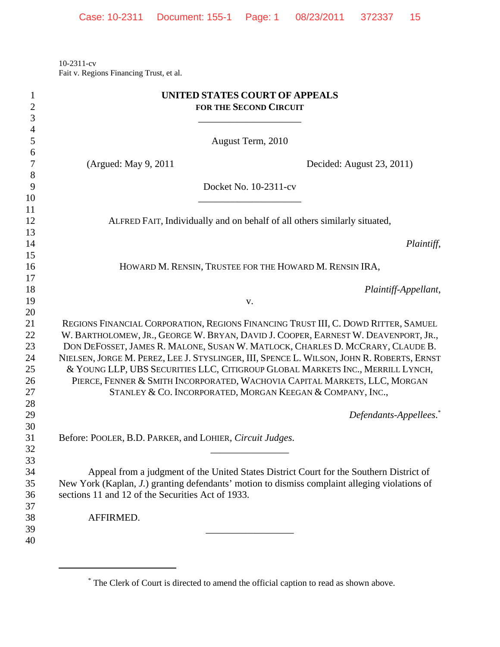10-2311-cv Fait v. Regions Financing Trust, et al.

| $\mathbf{1}$<br>$\overline{2}$ | UNITED STATES COURT OF APPEALS<br><b>FOR THE SECOND CIRCUIT</b>                                                                                                                          |
|--------------------------------|------------------------------------------------------------------------------------------------------------------------------------------------------------------------------------------|
| 3                              |                                                                                                                                                                                          |
| $\overline{4}$                 |                                                                                                                                                                                          |
| 5                              | August Term, 2010                                                                                                                                                                        |
| 6                              |                                                                                                                                                                                          |
| 7                              | (Argued: May 9, 2011)<br>Decided: August 23, 2011)                                                                                                                                       |
| 8                              |                                                                                                                                                                                          |
| 9                              | Docket No. 10-2311-cv                                                                                                                                                                    |
| 10<br>11                       |                                                                                                                                                                                          |
| 12                             | ALFRED FAIT, Individually and on behalf of all others similarly situated,                                                                                                                |
| 13                             |                                                                                                                                                                                          |
| 14                             | Plaintiff,                                                                                                                                                                               |
| 15                             |                                                                                                                                                                                          |
| 16                             | HOWARD M. RENSIN, TRUSTEE FOR THE HOWARD M. RENSIN IRA,                                                                                                                                  |
| 17                             |                                                                                                                                                                                          |
| 18                             | Plaintiff-Appellant,                                                                                                                                                                     |
| 19                             | V.                                                                                                                                                                                       |
| 20                             |                                                                                                                                                                                          |
| 21                             | REGIONS FINANCIAL CORPORATION, REGIONS FINANCING TRUST III, C. DOWD RITTER, SAMUEL                                                                                                       |
| 22                             | W. BARTHOLOMEW, JR., GEORGE W. BRYAN, DAVID J. COOPER, EARNEST W. DEAVENPORT, JR.,                                                                                                       |
| 23                             | DON DEFOSSET, JAMES R. MALONE, SUSAN W. MATLOCK, CHARLES D. MCCRARY, CLAUDE B.                                                                                                           |
| 24                             | NIELSEN, JORGE M. PEREZ, LEE J. STYSLINGER, III, SPENCE L. WILSON, JOHN R. ROBERTS, ERNST                                                                                                |
| 25                             | & YOUNG LLP, UBS SECURITIES LLC, CITIGROUP GLOBAL MARKETS INC., MERRILL LYNCH,                                                                                                           |
| 26                             | PIERCE, FENNER & SMITH INCORPORATED, WACHOVIA CAPITAL MARKETS, LLC, MORGAN                                                                                                               |
| 27                             | STANLEY & CO. INCORPORATED, MORGAN KEEGAN & COMPANY, INC.,                                                                                                                               |
| 28                             |                                                                                                                                                                                          |
| 29                             | Defendants-Appellees. <sup>*</sup>                                                                                                                                                       |
| 30                             |                                                                                                                                                                                          |
| 31                             | Before: POOLER, B.D. PARKER, and LOHIER, Circuit Judges.                                                                                                                                 |
| 32                             |                                                                                                                                                                                          |
| 33                             |                                                                                                                                                                                          |
| 34<br>35                       | Appeal from a judgment of the United States District Court for the Southern District of<br>New York (Kaplan, J.) granting defendants' motion to dismiss complaint alleging violations of |
| 36                             | sections 11 and 12 of the Securities Act of 1933.                                                                                                                                        |
| 37                             |                                                                                                                                                                                          |
| 38                             | AFFIRMED.                                                                                                                                                                                |
| 39                             |                                                                                                                                                                                          |
| 40                             |                                                                                                                                                                                          |
|                                |                                                                                                                                                                                          |

<sup>\*</sup> The Clerk of Court is directed to amend the official caption to read as shown above.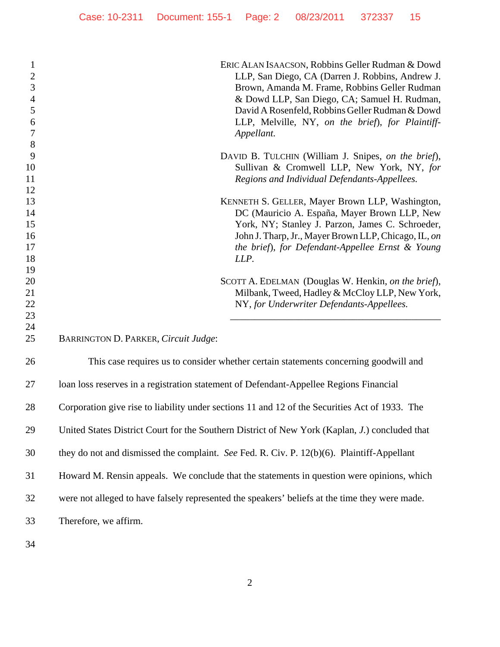| ERIC ALAN ISAACSON, Robbins Geller Rudman & Dowd<br>$\mathbf{1}$<br>$\overline{2}$<br>LLP, San Diego, CA (Darren J. Robbins, Andrew J.<br>$\mathfrak{Z}$<br>Brown, Amanda M. Frame, Robbins Geller Rudman<br>& Dowd LLP, San Diego, CA; Samuel H. Rudman,<br>$\overline{4}$<br>5<br>David A Rosenfeld, Robbins Geller Rudman & Dowd<br>LLP, Melville, NY, on the brief), for Plaintiff-<br>6<br>$\tau$<br>Appellant. | DAVID B. TULCHIN (William J. Snipes, on the brief),<br>Sullivan & Cromwell LLP, New York, NY, for |
|----------------------------------------------------------------------------------------------------------------------------------------------------------------------------------------------------------------------------------------------------------------------------------------------------------------------------------------------------------------------------------------------------------------------|---------------------------------------------------------------------------------------------------|
| 8                                                                                                                                                                                                                                                                                                                                                                                                                    |                                                                                                   |
| 9                                                                                                                                                                                                                                                                                                                                                                                                                    |                                                                                                   |
| 10                                                                                                                                                                                                                                                                                                                                                                                                                   |                                                                                                   |
| Regions and Individual Defendants-Appellees.<br>11                                                                                                                                                                                                                                                                                                                                                                   |                                                                                                   |
| 12                                                                                                                                                                                                                                                                                                                                                                                                                   |                                                                                                   |
| 13<br>KENNETH S. GELLER, Mayer Brown LLP, Washington,                                                                                                                                                                                                                                                                                                                                                                |                                                                                                   |
| DC (Mauricio A. España, Mayer Brown LLP, New<br>14                                                                                                                                                                                                                                                                                                                                                                   |                                                                                                   |
| 15<br>York, NY; Stanley J. Parzon, James C. Schroeder,                                                                                                                                                                                                                                                                                                                                                               |                                                                                                   |
| John J. Tharp, Jr., Mayer Brown LLP, Chicago, IL, on<br>16                                                                                                                                                                                                                                                                                                                                                           |                                                                                                   |
| 17<br>the brief), for Defendant-Appellee Ernst & Young                                                                                                                                                                                                                                                                                                                                                               |                                                                                                   |
| 18<br>LLP.                                                                                                                                                                                                                                                                                                                                                                                                           |                                                                                                   |
| 19                                                                                                                                                                                                                                                                                                                                                                                                                   |                                                                                                   |
| 20<br>SCOTT A. EDELMAN (Douglas W. Henkin, on the brief),                                                                                                                                                                                                                                                                                                                                                            |                                                                                                   |
| 21<br>Milbank, Tweed, Hadley & McCloy LLP, New York,                                                                                                                                                                                                                                                                                                                                                                 |                                                                                                   |
| 22<br>NY, for Underwriter Defendants-Appellees.                                                                                                                                                                                                                                                                                                                                                                      |                                                                                                   |
| 23                                                                                                                                                                                                                                                                                                                                                                                                                   |                                                                                                   |
| 24<br>25<br>BARRINGTON D. PARKER, Circuit Judge:                                                                                                                                                                                                                                                                                                                                                                     |                                                                                                   |
|                                                                                                                                                                                                                                                                                                                                                                                                                      |                                                                                                   |
| 26<br>This case requires us to consider whether certain statements concerning goodwill and                                                                                                                                                                                                                                                                                                                           |                                                                                                   |
| 27<br>loan loss reserves in a registration statement of Defendant-Appellee Regions Financial                                                                                                                                                                                                                                                                                                                         |                                                                                                   |
| Corporation give rise to liability under sections 11 and 12 of the Securities Act of 1933. The<br>28                                                                                                                                                                                                                                                                                                                 |                                                                                                   |
| 29<br>United States District Court for the Southern District of New York (Kaplan, J.) concluded that                                                                                                                                                                                                                                                                                                                 |                                                                                                   |
| 30<br>they do not and dismissed the complaint. See Fed. R. Civ. P. 12(b)(6). Plaintiff-Appellant                                                                                                                                                                                                                                                                                                                     |                                                                                                   |
| 31<br>Howard M. Rensin appeals. We conclude that the statements in question were opinions, which                                                                                                                                                                                                                                                                                                                     |                                                                                                   |
| 32<br>were not alleged to have falsely represented the speakers' beliefs at the time they were made.                                                                                                                                                                                                                                                                                                                 |                                                                                                   |
| 33<br>Therefore, we affirm.                                                                                                                                                                                                                                                                                                                                                                                          |                                                                                                   |
|                                                                                                                                                                                                                                                                                                                                                                                                                      |                                                                                                   |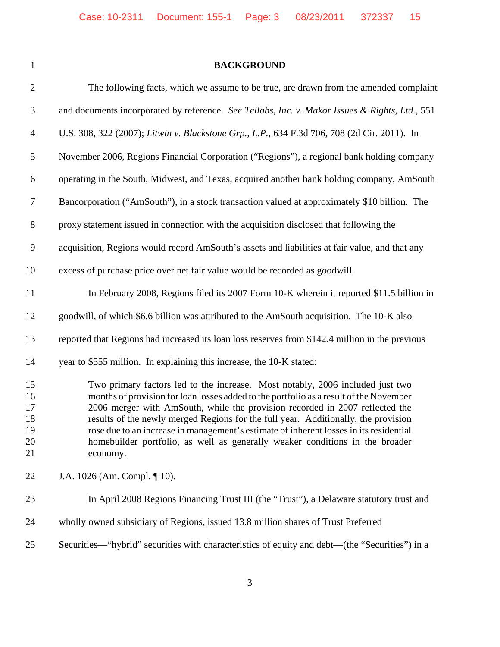## **BACKGROUND**

| $\overline{2}$                         | The following facts, which we assume to be true, are drawn from the amended complaint                                                                                                                                                                                                                                                                                                                                                                                                                                               |
|----------------------------------------|-------------------------------------------------------------------------------------------------------------------------------------------------------------------------------------------------------------------------------------------------------------------------------------------------------------------------------------------------------------------------------------------------------------------------------------------------------------------------------------------------------------------------------------|
| $\mathfrak{Z}$                         | and documents incorporated by reference. See Tellabs, Inc. v. Makor Issues & Rights, Ltd., 551                                                                                                                                                                                                                                                                                                                                                                                                                                      |
| $\overline{4}$                         | U.S. 308, 322 (2007); Litwin v. Blackstone Grp., L.P., 634 F.3d 706, 708 (2d Cir. 2011). In                                                                                                                                                                                                                                                                                                                                                                                                                                         |
| $\sqrt{5}$                             | November 2006, Regions Financial Corporation ("Regions"), a regional bank holding company                                                                                                                                                                                                                                                                                                                                                                                                                                           |
| 6                                      | operating in the South, Midwest, and Texas, acquired another bank holding company, AmSouth                                                                                                                                                                                                                                                                                                                                                                                                                                          |
| $\tau$                                 | Bancorporation ("AmSouth"), in a stock transaction valued at approximately \$10 billion. The                                                                                                                                                                                                                                                                                                                                                                                                                                        |
| $8\,$                                  | proxy statement issued in connection with the acquisition disclosed that following the                                                                                                                                                                                                                                                                                                                                                                                                                                              |
| 9                                      | acquisition, Regions would record AmSouth's assets and liabilities at fair value, and that any                                                                                                                                                                                                                                                                                                                                                                                                                                      |
| 10                                     | excess of purchase price over net fair value would be recorded as goodwill.                                                                                                                                                                                                                                                                                                                                                                                                                                                         |
| 11                                     | In February 2008, Regions filed its 2007 Form 10-K wherein it reported \$11.5 billion in                                                                                                                                                                                                                                                                                                                                                                                                                                            |
| 12                                     | goodwill, of which \$6.6 billion was attributed to the AmSouth acquisition. The 10-K also                                                                                                                                                                                                                                                                                                                                                                                                                                           |
| 13                                     | reported that Regions had increased its loan loss reserves from \$142.4 million in the previous                                                                                                                                                                                                                                                                                                                                                                                                                                     |
| 14                                     | year to \$555 million. In explaining this increase, the 10-K stated:                                                                                                                                                                                                                                                                                                                                                                                                                                                                |
| 15<br>16<br>17<br>18<br>19<br>20<br>21 | Two primary factors led to the increase. Most notably, 2006 included just two<br>months of provision for loan losses added to the portfolio as a result of the November<br>2006 merger with AmSouth, while the provision recorded in 2007 reflected the<br>results of the newly merged Regions for the full year. Additionally, the provision<br>rose due to an increase in management's estimate of inherent losses in its residential<br>homebuilder portfolio, as well as generally weaker conditions in the broader<br>economy. |
| 22                                     | J.A. 1026 (Am. Compl. ¶ 10).                                                                                                                                                                                                                                                                                                                                                                                                                                                                                                        |
| 23                                     | In April 2008 Regions Financing Trust III (the "Trust"), a Delaware statutory trust and                                                                                                                                                                                                                                                                                                                                                                                                                                             |
| 24                                     | wholly owned subsidiary of Regions, issued 13.8 million shares of Trust Preferred                                                                                                                                                                                                                                                                                                                                                                                                                                                   |
| 25                                     | Securities—"hybrid" securities with characteristics of equity and debt—(the "Securities") in a                                                                                                                                                                                                                                                                                                                                                                                                                                      |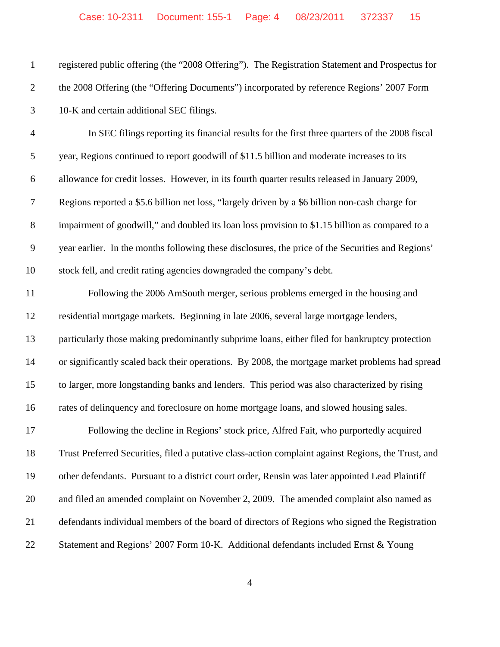| $\mathbf{1}$   | registered public offering (the "2008 Offering"). The Registration Statement and Prospectus for     |
|----------------|-----------------------------------------------------------------------------------------------------|
| $\overline{2}$ | the 2008 Offering (the "Offering Documents") incorporated by reference Regions' 2007 Form           |
| 3              | 10-K and certain additional SEC filings.                                                            |
| $\overline{4}$ | In SEC filings reporting its financial results for the first three quarters of the 2008 fiscal      |
| $\mathfrak{S}$ | year, Regions continued to report goodwill of \$11.5 billion and moderate increases to its          |
| 6              | allowance for credit losses. However, in its fourth quarter results released in January 2009,       |
| 7              | Regions reported a \$5.6 billion net loss, "largely driven by a \$6 billion non-cash charge for     |
| $8\,$          | impairment of goodwill," and doubled its loan loss provision to \$1.15 billion as compared to a     |
| $\mathbf{9}$   | year earlier. In the months following these disclosures, the price of the Securities and Regions'   |
| 10             | stock fell, and credit rating agencies downgraded the company's debt.                               |
| 11             | Following the 2006 AmSouth merger, serious problems emerged in the housing and                      |
| 12             | residential mortgage markets. Beginning in late 2006, several large mortgage lenders,               |
| 13             | particularly those making predominantly subprime loans, either filed for bankruptcy protection      |
| 14             | or significantly scaled back their operations. By 2008, the mortgage market problems had spread     |
| 15             | to larger, more longstanding banks and lenders. This period was also characterized by rising        |
| 16             | rates of delinquency and foreclosure on home mortgage loans, and slowed housing sales.              |
| 17             | Following the decline in Regions' stock price, Alfred Fait, who purportedly acquired                |
| 18             | Trust Preferred Securities, filed a putative class-action complaint against Regions, the Trust, and |
| 19             | other defendants. Pursuant to a district court order, Rensin was later appointed Lead Plaintiff     |
| 20             | and filed an amended complaint on November 2, 2009. The amended complaint also named as             |
| 21             | defendants individual members of the board of directors of Regions who signed the Registration      |
| 22             | Statement and Regions' 2007 Form 10-K. Additional defendants included Ernst & Young                 |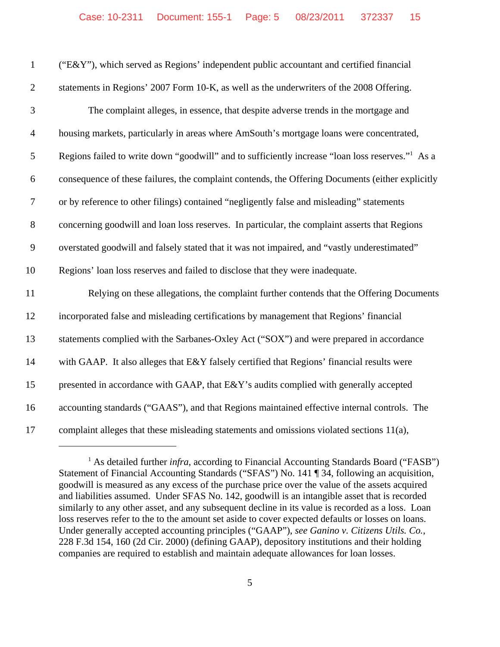| $\mathbf{1}$     | ("E&Y"), which served as Regions' independent public accountant and certified financial                      |
|------------------|--------------------------------------------------------------------------------------------------------------|
| $\overline{2}$   | statements in Regions' 2007 Form 10-K, as well as the underwriters of the 2008 Offering.                     |
| 3                | The complaint alleges, in essence, that despite adverse trends in the mortgage and                           |
| $\overline{4}$   | housing markets, particularly in areas where AmSouth's mortgage loans were concentrated,                     |
| $\mathfrak{S}$   | Regions failed to write down "goodwill" and to sufficiently increase "loan loss reserves." <sup>1</sup> As a |
| $\boldsymbol{6}$ | consequence of these failures, the complaint contends, the Offering Documents (either explicitly             |
| $\boldsymbol{7}$ | or by reference to other filings) contained "negligently false and misleading" statements                    |
| $8\,$            | concerning goodwill and loan loss reserves. In particular, the complaint asserts that Regions                |
| 9                | overstated goodwill and falsely stated that it was not impaired, and "vastly underestimated"                 |
| 10               | Regions' loan loss reserves and failed to disclose that they were inadequate.                                |
| 11               | Relying on these allegations, the complaint further contends that the Offering Documents                     |
| 12               | incorporated false and misleading certifications by management that Regions' financial                       |
| 13               | statements complied with the Sarbanes-Oxley Act ("SOX") and were prepared in accordance                      |
| 14               | with GAAP. It also alleges that E&Y falsely certified that Regions' financial results were                   |
| 15               | presented in accordance with GAAP, that E&Y's audits complied with generally accepted                        |
| 16               | accounting standards ("GAAS"), and that Regions maintained effective internal controls. The                  |
| 17               | complaint alleges that these misleading statements and omissions violated sections 11(a),                    |

<sup>&</sup>lt;sup>1</sup> As detailed further *infra*, according to Financial Accounting Standards Board ("FASB") Statement of Financial Accounting Standards ("SFAS") No. 141 ¶ 34, following an acquisition, goodwill is measured as any excess of the purchase price over the value of the assets acquired and liabilities assumed. Under SFAS No. 142, goodwill is an intangible asset that is recorded similarly to any other asset, and any subsequent decline in its value is recorded as a loss. Loan loss reserves refer to the to the amount set aside to cover expected defaults or losses on loans. Under generally accepted accounting principles ("GAAP"), *see Ganino v. Citizens Utils. Co.*, 228 F.3d 154, 160 (2d Cir. 2000) (defining GAAP), depository institutions and their holding companies are required to establish and maintain adequate allowances for loan losses.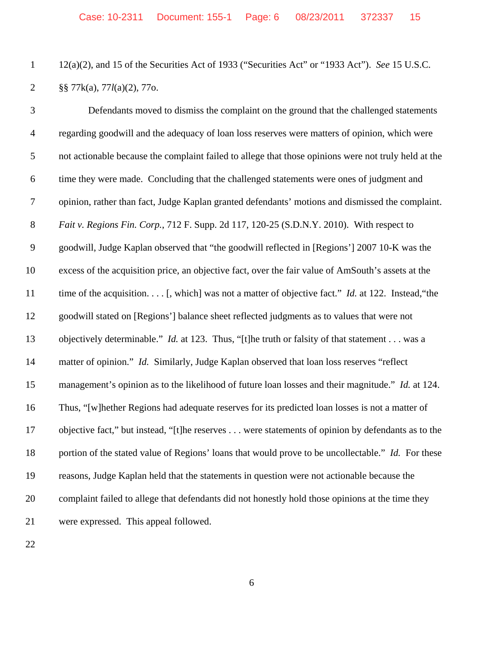12(a)(2), and 15 of the Securities Act of 1933 ("Securities Act" or "1933 Act"). *See* 15 U.S.C. §§ 77k(a), 77*l*(a)(2), 77o.

 Defendants moved to dismiss the complaint on the ground that the challenged statements regarding goodwill and the adequacy of loan loss reserves were matters of opinion, which were not actionable because the complaint failed to allege that those opinions were not truly held at the time they were made. Concluding that the challenged statements were ones of judgment and opinion, rather than fact, Judge Kaplan granted defendants' motions and dismissed the complaint. *Fait v. Regions Fin. Corp.*, 712 F. Supp. 2d 117, 120-25 (S.D.N.Y. 2010). With respect to goodwill, Judge Kaplan observed that "the goodwill reflected in [Regions'] 2007 10-K was the excess of the acquisition price, an objective fact, over the fair value of AmSouth's assets at the 11 time of the acquisition. . . . [, which] was not a matter of objective fact." *Id.* at 122. Instead, "the goodwill stated on [Regions'] balance sheet reflected judgments as to values that were not objectively determinable." *Id.* at 123. Thus, "[t]he truth or falsity of that statement . . . was a matter of opinion." *Id.* Similarly, Judge Kaplan observed that loan loss reserves "reflect management's opinion as to the likelihood of future loan losses and their magnitude." *Id.* at 124. Thus, "[w]hether Regions had adequate reserves for its predicted loan losses is not a matter of objective fact," but instead, "[t]he reserves . . . were statements of opinion by defendants as to the 18 portion of the stated value of Regions' loans that would prove to be uncollectable." *Id.* For these reasons, Judge Kaplan held that the statements in question were not actionable because the complaint failed to allege that defendants did not honestly hold those opinions at the time they were expressed. This appeal followed.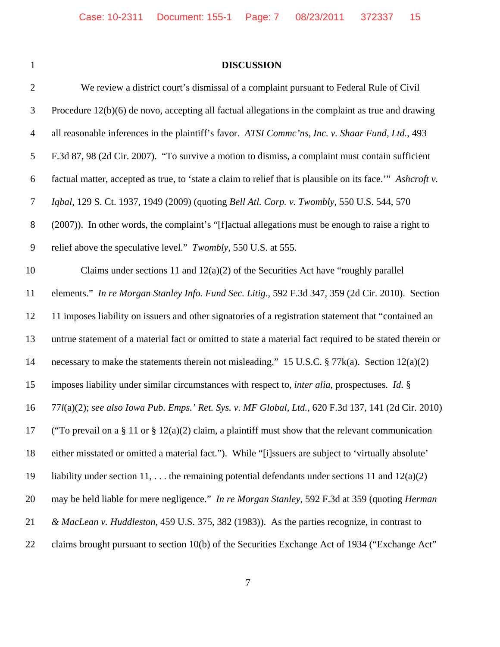|  | I |  |
|--|---|--|
|  |   |  |
|  |   |  |
|  |   |  |
|  |   |  |

## **DISCUSSION**

| $\mathbf{2}$   | We review a district court's dismissal of a complaint pursuant to Federal Rule of Civil                       |
|----------------|---------------------------------------------------------------------------------------------------------------|
| 3              | Procedure $12(b)(6)$ de novo, accepting all factual allegations in the complaint as true and drawing          |
| $\overline{4}$ | all reasonable inferences in the plaintiff's favor. ATSI Commc'ns, Inc. v. Shaar Fund, Ltd., 493              |
| 5              | F.3d 87, 98 (2d Cir. 2007). "To survive a motion to dismiss, a complaint must contain sufficient              |
| 6              | factual matter, accepted as true, to 'state a claim to relief that is plausible on its face." Ashcroft v.     |
| $\tau$         | Iqbal, 129 S. Ct. 1937, 1949 (2009) (quoting Bell Atl. Corp. v. Twombly, 550 U.S. 544, 570                    |
| $8\,$          | (2007)). In other words, the complaint's "[f] actual allegations must be enough to raise a right to           |
| 9              | relief above the speculative level." Twombly, 550 U.S. at 555.                                                |
| 10             | Claims under sections 11 and $12(a)(2)$ of the Securities Act have "roughly parallel"                         |
| 11             | elements." In re Morgan Stanley Info. Fund Sec. Litig., 592 F.3d 347, 359 (2d Cir. 2010). Section             |
| 12             | 11 imposes liability on issuers and other signatories of a registration statement that "contained an          |
| 13             | untrue statement of a material fact or omitted to state a material fact required to be stated therein or      |
| 14             | necessary to make the statements therein not misleading." 15 U.S.C. § 77k(a). Section 12(a)(2)                |
| 15             | imposes liability under similar circumstances with respect to, <i>inter alia</i> , prospectuses. <i>Id.</i> § |
| 16             | 77l(a)(2); see also Iowa Pub. Emps.' Ret. Sys. v. MF Global, Ltd., 620 F.3d 137, 141 (2d Cir. 2010)           |
| 17             | ("To prevail on a $\S 11$ or $\S 12(a)(2)$ claim, a plaintiff must show that the relevant communication       |
| 18             | either misstated or omitted a material fact."). While "[i]ssuers are subject to 'virtually absolute'          |
| 19             | liability under section 11,  the remaining potential defendants under sections 11 and $12(a)(2)$              |
| 20             | may be held liable for mere negligence." In re Morgan Stanley, 592 F.3d at 359 (quoting Herman                |
| 21             | & MacLean v. Huddleston, 459 U.S. 375, 382 (1983)). As the parties recognize, in contrast to                  |
| 22             | claims brought pursuant to section 10(b) of the Securities Exchange Act of 1934 ("Exchange Act"               |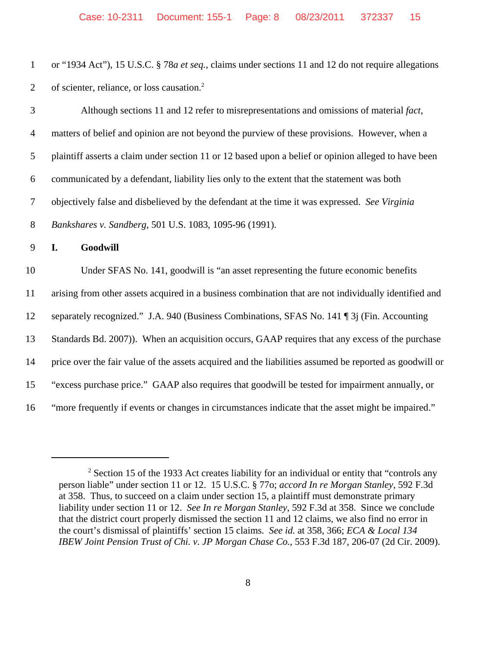| or "1934 Act"), 15 U.S.C. § 78 <i>a et seq.</i> , claims under sections 11 and 12 do not require allegations |
|--------------------------------------------------------------------------------------------------------------|
| 2 of scienter, reliance, or loss causation. <sup>2</sup>                                                     |

| 3              | Although sections 11 and 12 refer to misrepresentations and omissions of material fact,                 |
|----------------|---------------------------------------------------------------------------------------------------------|
| $\overline{4}$ | matters of belief and opinion are not beyond the purview of these provisions. However, when a           |
| 5              | plaintiff asserts a claim under section 11 or 12 based upon a belief or opinion alleged to have been    |
| 6              | communicated by a defendant, liability lies only to the extent that the statement was both              |
| $\tau$         | objectively false and disbelieved by the defendant at the time it was expressed. See Virginia           |
| 8              | Bankshares v. Sandberg, 501 U.S. 1083, 1095-96 (1991).                                                  |
| 9              | Goodwill<br>I.                                                                                          |
| 10             | Under SFAS No. 141, goodwill is "an asset representing the future economic benefits                     |
| 11             | arising from other assets acquired in a business combination that are not individually identified and   |
| 12             | separately recognized." J.A. 940 (Business Combinations, SFAS No. 141   3] (Fin. Accounting             |
| 13             | Standards Bd. 2007)). When an acquisition occurs, GAAP requires that any excess of the purchase         |
| 14             | price over the fair value of the assets acquired and the liabilities assumed be reported as goodwill or |
| 15             | "excess purchase price." GAAP also requires that goodwill be tested for impairment annually, or         |
| 16             | "more frequently if events or changes in circumstances indicate that the asset might be impaired."      |

 $2^2$  Section 15 of the 1933 Act creates liability for an individual or entity that "controls any person liable" under section 11 or 12. 15 U.S.C. § 77o; *accord In re Morgan Stanley*, 592 F.3d at 358. Thus, to succeed on a claim under section 15, a plaintiff must demonstrate primary liability under section 11 or 12. *See In re Morgan Stanley*, 592 F.3d at 358. Since we conclude that the district court properly dismissed the section 11 and 12 claims, we also find no error in the court's dismissal of plaintiffs' section 15 claims. *See id.* at 358, 366; *ECA & Local 134 IBEW Joint Pension Trust of Chi. v. JP Morgan Chase Co.*, 553 F.3d 187, 206-07 (2d Cir. 2009).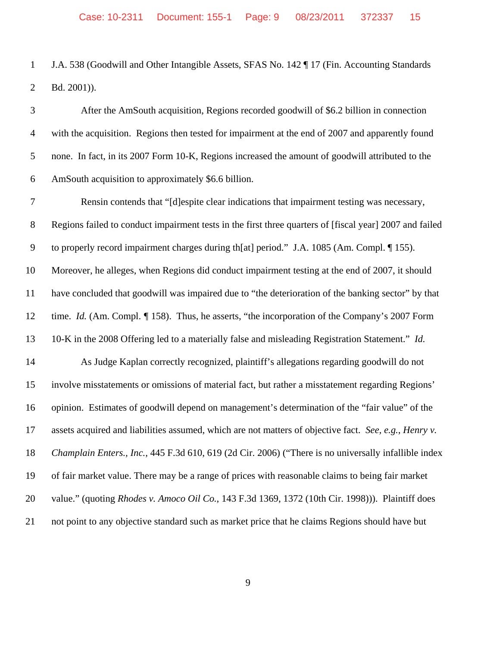1 J.A. 538 (Goodwill and Other Intangible Assets, SFAS No. 142 ¶ 17 (Fin. Accounting Standards Bd. 2001)).

 After the AmSouth acquisition, Regions recorded goodwill of \$6.2 billion in connection with the acquisition. Regions then tested for impairment at the end of 2007 and apparently found none. In fact, in its 2007 Form 10-K, Regions increased the amount of goodwill attributed to the AmSouth acquisition to approximately \$6.6 billion. Rensin contends that "[d]espite clear indications that impairment testing was necessary, Regions failed to conduct impairment tests in the first three quarters of [fiscal year] 2007 and failed to properly record impairment charges during th[at] period." J.A. 1085 (Am. Compl. ¶ 155). Moreover, he alleges, when Regions did conduct impairment testing at the end of 2007, it should have concluded that goodwill was impaired due to "the deterioration of the banking sector" by that 12 time. *Id.* (Am. Compl. *¶* 158). Thus, he asserts, "the incorporation of the Company's 2007 Form 10-K in the 2008 Offering led to a materially false and misleading Registration Statement." *Id.* As Judge Kaplan correctly recognized, plaintiff's allegations regarding goodwill do not involve misstatements or omissions of material fact, but rather a misstatement regarding Regions' opinion. Estimates of goodwill depend on management's determination of the "fair value" of the assets acquired and liabilities assumed, which are not matters of objective fact. *See, e.g.*, *Henry v. Champlain Enters., Inc.*, 445 F.3d 610, 619 (2d Cir. 2006) ("There is no universally infallible index of fair market value. There may be a range of prices with reasonable claims to being fair market value." (quoting *Rhodes v. Amoco Oil Co.*, 143 F.3d 1369, 1372 (10th Cir. 1998))). Plaintiff does not point to any objective standard such as market price that he claims Regions should have but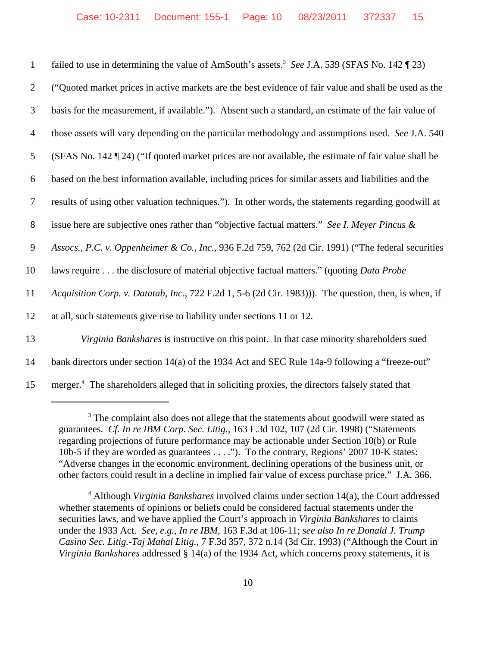| $\mathbf{1}$   | failed to use in determining the value of AmSouth's assets. <sup>3</sup> See J.A. 539 (SFAS No. 142 ¶ 23)   |
|----------------|-------------------------------------------------------------------------------------------------------------|
| $\overline{2}$ | ("Quoted market prices in active markets are the best evidence of fair value and shall be used as the       |
| 3              | basis for the measurement, if available."). Absent such a standard, an estimate of the fair value of        |
| 4              | those assets will vary depending on the particular methodology and assumptions used. See J.A. 540           |
| 5              | (SFAS No. 142 ¶ 24) ("If quoted market prices are not available, the estimate of fair value shall be        |
| 6              | based on the best information available, including prices for similar assets and liabilities and the        |
| $\tau$         | results of using other valuation techniques."). In other words, the statements regarding goodwill at        |
| 8              | issue here are subjective ones rather than "objective factual matters." See I. Meyer Pincus &               |
| 9              | Assocs., P.C. v. Oppenheimer & Co., Inc., 936 F.2d 759, 762 (2d Cir. 1991) ("The federal securities         |
| 10             | laws require the disclosure of material objective factual matters." (quoting <i>Data Probe</i>              |
| 11             | Acquisition Corp. v. Datatab, Inc., 722 F.2d 1, 5-6 (2d Cir. 1983))). The question, then, is when, if       |
| 12             | at all, such statements give rise to liability under sections 11 or 12.                                     |
| 13             | Virginia Bankshares is instructive on this point. In that case minority shareholders sued                   |
| 14             | bank directors under section 14(a) of the 1934 Act and SEC Rule 14a-9 following a "freeze-out"              |
| 15             | merger. <sup>4</sup> The shareholders alleged that in soliciting proxies, the directors falsely stated that |

<sup>&</sup>lt;sup>3</sup> The complaint also does not allege that the statements about goodwill were stated as guarantees. *Cf. In re IBM Corp. Sec. Litig.,* 163 F.3d 102, 107 (2d Cir. 1998) ("Statements regarding projections of future performance may be actionable under Section 10(b) or Rule 10b-5 if they are worded as guarantees . . . ."). To the contrary, Regions' 2007 10-K states: "Adverse changes in the economic environment, declining operations of the business unit, or other factors could result in a decline in implied fair value of excess purchase price." J.A. 366.

<sup>4</sup> Although *Virginia Bankshares* involved claims under section 14(a), the Court addressed whether statements of opinions or beliefs could be considered factual statements under the securities laws, and we have applied the Court's approach in *Virginia Bankshares* to claims under the 1933 Act. *See, e.g.*, *In re IBM*, 163 F.3d at 106-11; *see also In re Donald J. Trump Casino Sec. Litig.-Taj Mahal Litig.*, 7 F.3d 357, 372 n.14 (3d Cir. 1993) ("Although the Court in *Virginia Bankshares* addressed § 14(a) of the 1934 Act, which concerns proxy statements, it is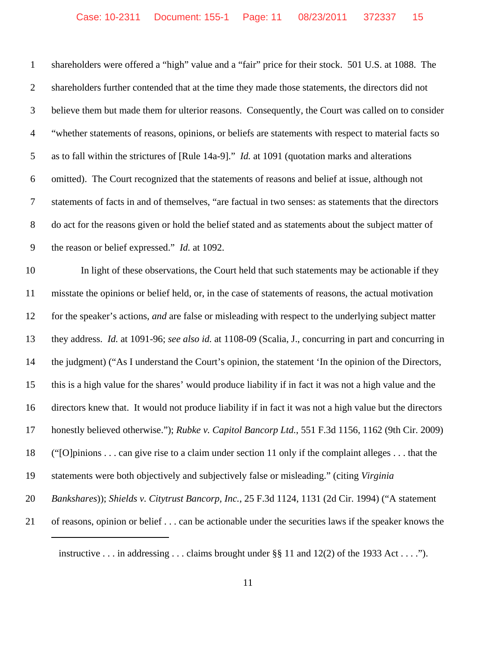| $\mathbf{1}$     | shareholders were offered a "high" value and a "fair" price for their stock. 501 U.S. at 1088. The       |
|------------------|----------------------------------------------------------------------------------------------------------|
| $\overline{2}$   | shareholders further contended that at the time they made those statements, the directors did not        |
| $\mathfrak{Z}$   | believe them but made them for ulterior reasons. Consequently, the Court was called on to consider       |
| $\overline{4}$   | "whether statements of reasons, opinions, or beliefs are statements with respect to material facts so    |
| 5                | as to fall within the strictures of [Rule 14a-9]." <i>Id.</i> at 1091 (quotation marks and alterations   |
| 6                | omitted). The Court recognized that the statements of reasons and belief at issue, although not          |
| $\tau$           | statements of facts in and of themselves, "are factual in two senses: as statements that the directors   |
| $8\,$            | do act for the reasons given or hold the belief stated and as statements about the subject matter of     |
| $\boldsymbol{9}$ | the reason or belief expressed." <i>Id.</i> at 1092.                                                     |
| 10               | In light of these observations, the Court held that such statements may be actionable if they            |
| 11               | misstate the opinions or belief held, or, in the case of statements of reasons, the actual motivation    |
| 12               | for the speaker's actions, and are false or misleading with respect to the underlying subject matter     |
| 13               | they address. Id. at 1091-96; see also id. at 1108-09 (Scalia, J., concurring in part and concurring in  |
| 14               | the judgment) ("As I understand the Court's opinion, the statement 'In the opinion of the Directors,     |
| 15               | this is a high value for the shares' would produce liability if in fact it was not a high value and the  |
| 16               | directors knew that. It would not produce liability if in fact it was not a high value but the directors |
| 17               | honestly believed otherwise."); Rubke v. Capitol Bancorp Ltd., 551 F.3d 1156, 1162 (9th Cir. 2009)       |
| 18               | ("[O] pinions can give rise to a claim under section 11 only if the complaint alleges that the           |
| 19               | statements were both objectively and subjectively false or misleading." (citing Virginia                 |
| 20               | Bankshares)); Shields v. Citytrust Bancorp, Inc., 25 F.3d 1124, 1131 (2d Cir. 1994) ("A statement        |
| 21               | of reasons, opinion or belief can be actionable under the securities laws if the speaker knows the       |
|                  |                                                                                                          |

instructive . . . in addressing . . . claims brought under §§ 11 and 12(2) of the 1933 Act . . . .").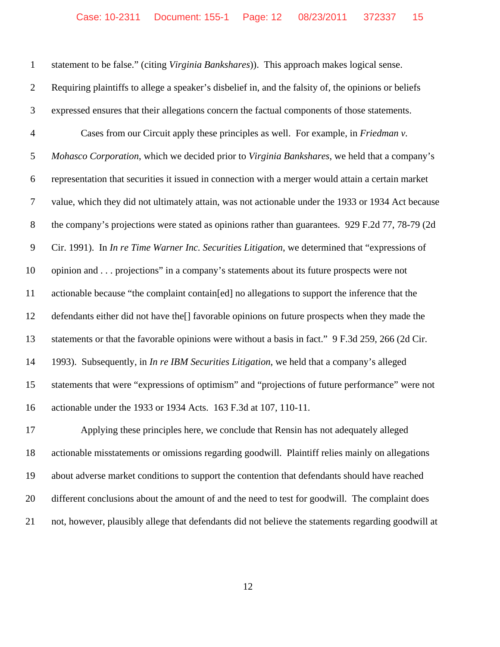statement to be false." (citing *Virginia Bankshares*)). This approach makes logical sense. Requiring plaintiffs to allege a speaker's disbelief in, and the falsity of, the opinions or beliefs expressed ensures that their allegations concern the factual components of those statements. Cases from our Circuit apply these principles as well. For example, in *Friedman v. Mohasco Corporation*, which we decided prior to *Virginia Bankshares*, we held that a company's representation that securities it issued in connection with a merger would attain a certain market value, which they did not ultimately attain, was not actionable under the 1933 or 1934 Act because 8 the company's projections were stated as opinions rather than guarantees. 929 F.2d 77, 78-79 (2d Cir. 1991). In *In re Time Warner Inc. Securities Litigation*, we determined that "expressions of opinion and . . . projections" in a company's statements about its future prospects were not actionable because "the complaint contain[ed] no allegations to support the inference that the defendants either did not have the[] favorable opinions on future prospects when they made the 13 statements or that the favorable opinions were without a basis in fact." 9 F.3d 259, 266 (2d Cir. 1993). Subsequently, in *In re IBM Securities Litigation*, we held that a company's alleged statements that were "expressions of optimism" and "projections of future performance" were not actionable under the 1933 or 1934 Acts. 163 F.3d at 107, 110-11. Applying these principles here, we conclude that Rensin has not adequately alleged actionable misstatements or omissions regarding goodwill. Plaintiff relies mainly on allegations about adverse market conditions to support the contention that defendants should have reached different conclusions about the amount of and the need to test for goodwill. The complaint does

not, however, plausibly allege that defendants did not believe the statements regarding goodwill at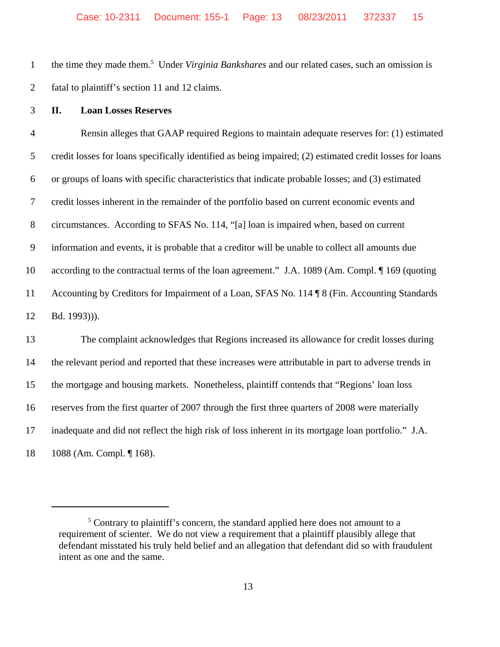1 the time they made them.<sup>5</sup> Under *Virginia Bankshares* and our related cases, such an omission is fatal to plaintiff's section 11 and 12 claims.

**II. Loan Losses Reserves**

 Rensin alleges that GAAP required Regions to maintain adequate reserves for: (1) estimated credit losses for loans specifically identified as being impaired; (2) estimated credit losses for loans or groups of loans with specific characteristics that indicate probable losses; and (3) estimated credit losses inherent in the remainder of the portfolio based on current economic events and circumstances. According to SFAS No. 114, "[a] loan is impaired when, based on current information and events, it is probable that a creditor will be unable to collect all amounts due according to the contractual terms of the loan agreement." J.A. 1089 (Am. Compl. ¶ 169 (quoting 11 Accounting by Creditors for Impairment of a Loan, SFAS No. 114 ¶ 8 (Fin. Accounting Standards Bd. 1993))). The complaint acknowledges that Regions increased its allowance for credit losses during the relevant period and reported that these increases were attributable in part to adverse trends in the mortgage and housing markets. Nonetheless, plaintiff contends that "Regions' loan loss

reserves from the first quarter of 2007 through the first three quarters of 2008 were materially

inadequate and did not reflect the high risk of loss inherent in its mortgage loan portfolio." J.A.

1088 (Am. Compl. ¶ 168).

<sup>&</sup>lt;sup>5</sup> Contrary to plaintiff's concern, the standard applied here does not amount to a requirement of scienter. We do not view a requirement that a plaintiff plausibly allege that defendant misstated his truly held belief and an allegation that defendant did so with fraudulent intent as one and the same.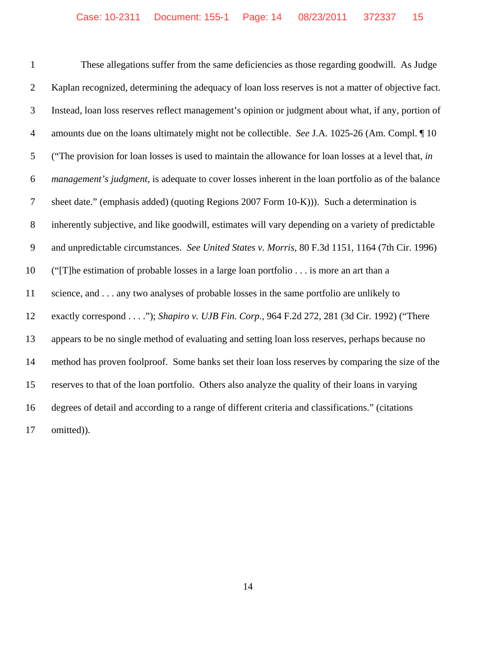These allegations suffer from the same deficiencies as those regarding goodwill. As Judge Kaplan recognized, determining the adequacy of loan loss reserves is not a matter of objective fact. Instead, loan loss reserves reflect management's opinion or judgment about what, if any, portion of amounts due on the loans ultimately might not be collectible. *See* J.A. 1025-26 (Am. Compl. ¶ 10 ("The provision for loan losses is used to maintain the allowance for loan losses at a level that, *in management's judgment*, is adequate to cover losses inherent in the loan portfolio as of the balance sheet date." (emphasis added) (quoting Regions 2007 Form 10-K))). Such a determination is inherently subjective, and like goodwill, estimates will vary depending on a variety of predictable and unpredictable circumstances. *See United States v. Morris*, 80 F.3d 1151, 1164 (7th Cir. 1996) ("[T]he estimation of probable losses in a large loan portfolio . . . is more an art than a science, and . . . any two analyses of probable losses in the same portfolio are unlikely to exactly correspond . . . ."); *Shapiro v. UJB Fin. Corp.*, 964 F.2d 272, 281 (3d Cir. 1992) ("There appears to be no single method of evaluating and setting loan loss reserves, perhaps because no method has proven foolproof. Some banks set their loan loss reserves by comparing the size of the reserves to that of the loan portfolio. Others also analyze the quality of their loans in varying degrees of detail and according to a range of different criteria and classifications." (citations omitted)).